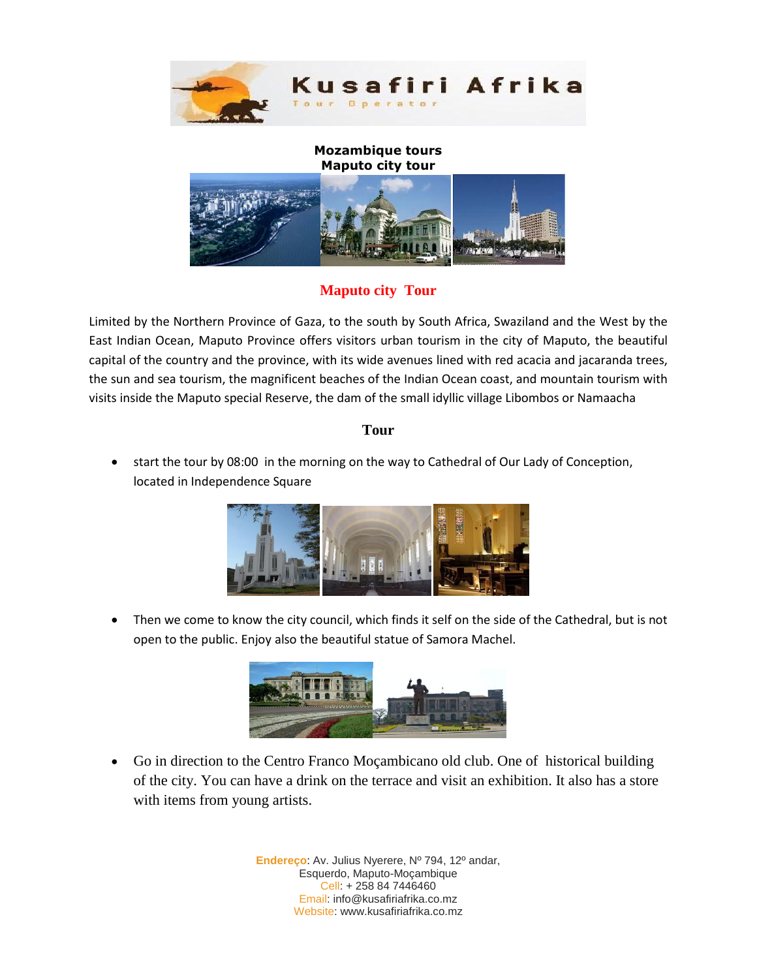



## **Maputo city Tour**

Limited by the Northern Province of Gaza, to the south by South Africa, Swaziland and the West by the East Indian Ocean, Maputo Province offers visitors urban tourism in the city of Maputo, the beautiful capital of the country and the province, with its wide avenues lined with red acacia and jacaranda trees, the sun and sea tourism, the magnificent beaches of the Indian Ocean coast, and mountain tourism with visits inside the Maputo special Reserve, the dam of the small idyllic village Libombos or Namaacha

#### **Tour**

 start the tour by 08:00 in the morning on the way to Cathedral of Our Lady of Conception, located in Independence Square



 Then we come to know the city council, which finds it self on the side of the Cathedral, but is not open to the public. Enjoy also the beautiful statue of Samora Machel.



 Go in direction to the Centro Franco Moçambicano old club. One of historical building of the city. You can have a drink on the terrace and visit an exhibition. It also has a store with items from young artists.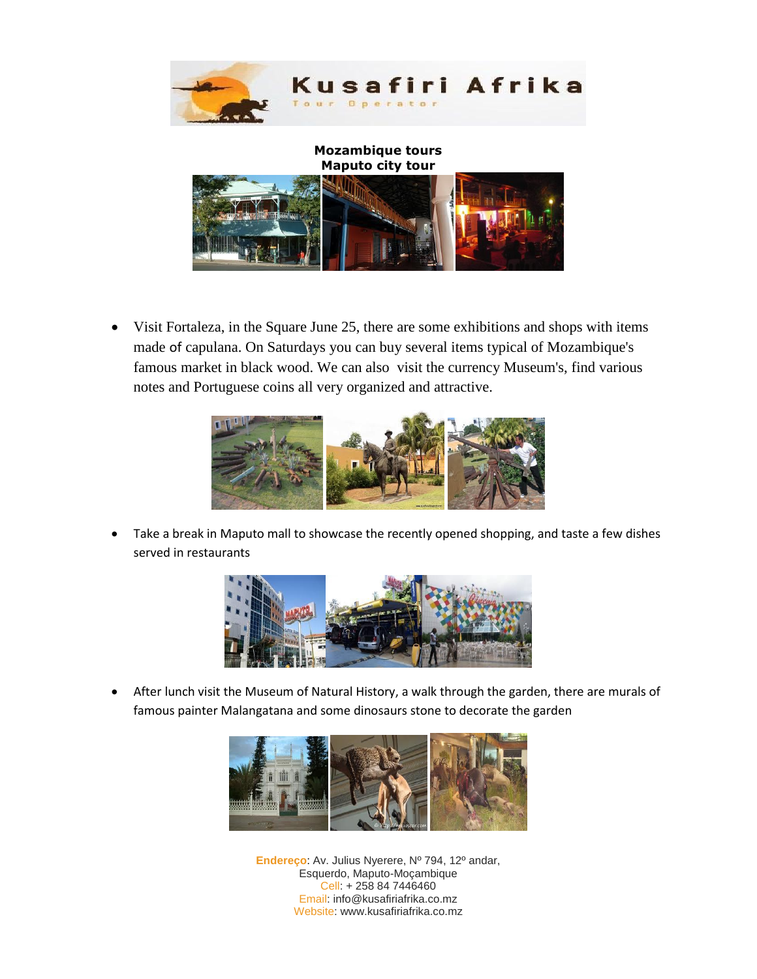



 Visit Fortaleza, in the Square June 25, there are some exhibitions and shops with items made of capulana. On Saturdays you can buy several items typical of Mozambique's famous market in black wood. We can also visit the currency Museum's, find various notes and Portuguese coins all very organized and attractive.



 Take a break in Maputo mall to showcase the recently opened shopping, and taste a few dishes served in restaurants



 After lunch visit the Museum of Natural History, a walk through the garden, there are murals of famous painter Malangatana and some dinosaurs stone to decorate the garden

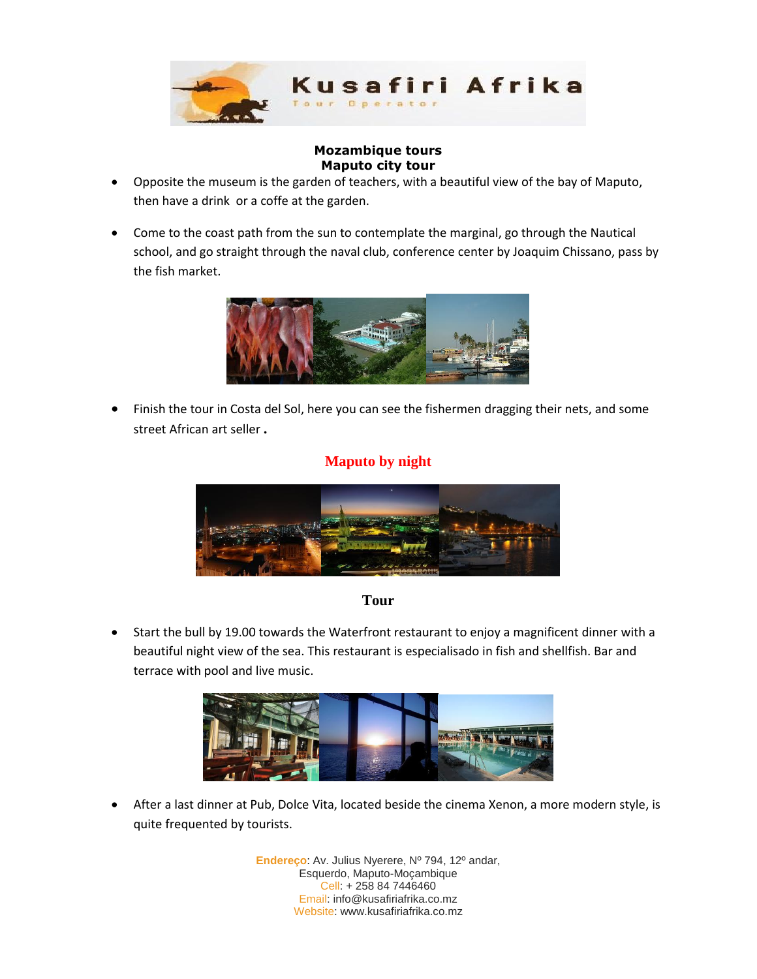

- Opposite the museum is the garden of teachers, with a beautiful view of the bay of Maputo, then have a drink or a coffe at the garden.
- Come to the coast path from the sun to contemplate the marginal, go through the Nautical school, and go straight through the naval club, conference center by Joaquim Chissano, pass by the fish market.



 Finish the tour in Costa del Sol, here you can see the fishermen dragging their nets, and some street African art seller **.**

## **Maputo by night**



## **Tour**

 Start the bull by 19.00 towards the Waterfront restaurant to enjoy a magnificent dinner with a beautiful night view of the sea. This restaurant is especialisado in fish and shellfish. Bar and terrace with pool and live music.



 After a last dinner at Pub, Dolce Vita, located beside the cinema Xenon, a more modern style, is quite frequented by tourists.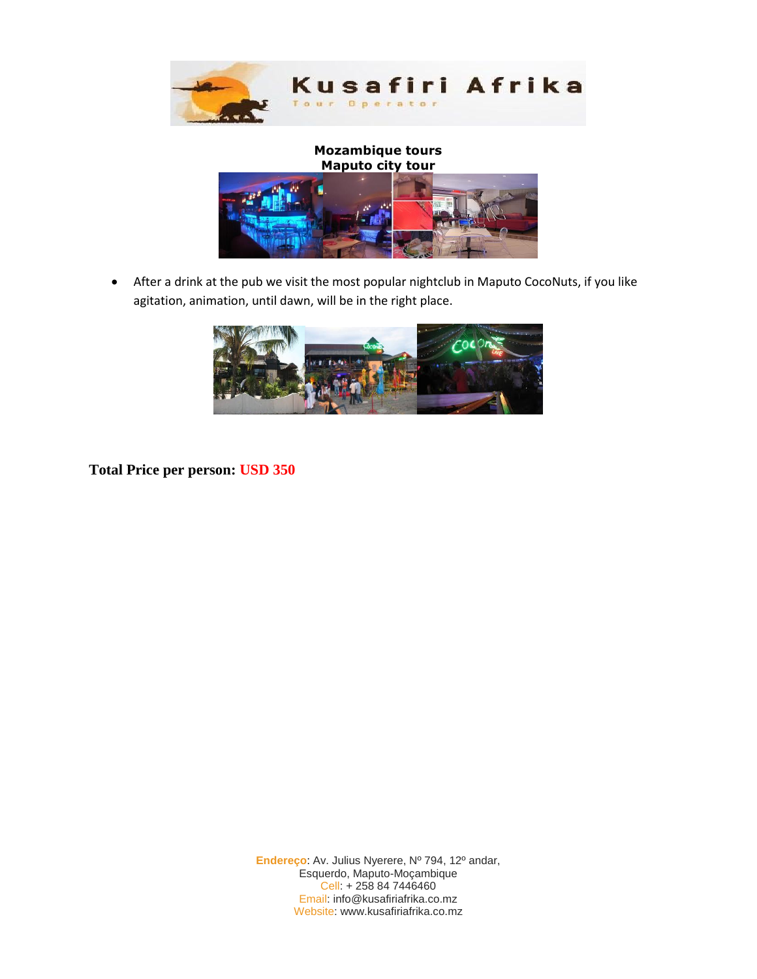

 After a drink at the pub we visit the most popular nightclub in Maputo CocoNuts, if you like agitation, animation, until dawn, will be in the right place.



**Total Price per person: USD 350**